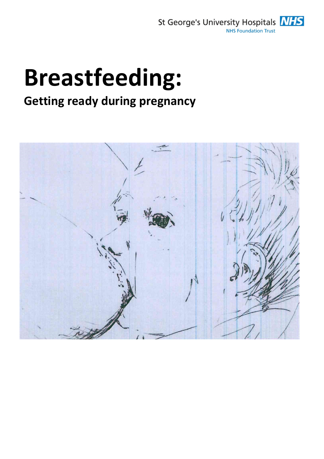

# Breastfeeding:

## Getting ready during pregnancy

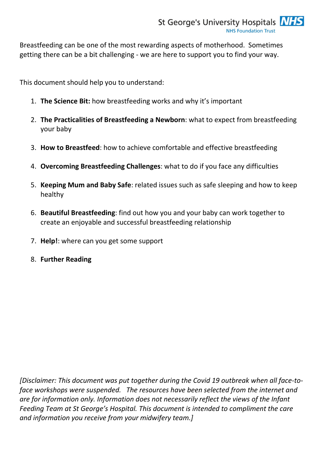Breastfeeding can be one of the most rewarding aspects of motherhood. Sometimes getting there can be a bit challenging - we are here to support you to find your way.

This document should help you to understand:

- 1. The Science Bit: how breastfeeding works and why it's important
- 2. The Practicalities of Breastfeeding a Newborn: what to expect from breastfeeding your baby
- 3. How to Breastfeed: how to achieve comfortable and effective breastfeeding
- 4. Overcoming Breastfeeding Challenges: what to do if you face any difficulties
- 5. Keeping Mum and Baby Safe: related issues such as safe sleeping and how to keep healthy
- 6. Beautiful Breastfeeding: find out how you and your baby can work together to create an enjoyable and successful breastfeeding relationship
- 7. Help!: where can you get some support
- 8. Further Reading

[Disclaimer: This document was put together during the Covid 19 outbreak when all face-toface workshops were suspended. The resources have been selected from the internet and are for information only. Information does not necessarily reflect the views of the Infant Feeding Team at St George's Hospital. This document is intended to compliment the care and information you receive from your midwifery team.]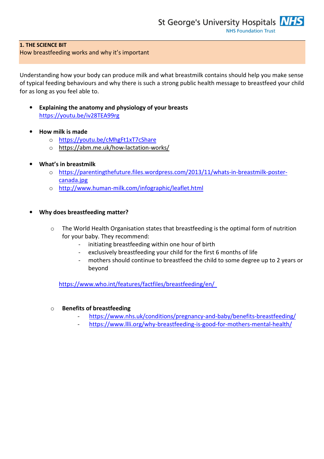#### 1. THE SCIENCE BIT

#### How breastfeeding works and why it's important

Understanding how your body can produce milk and what breastmilk contains should help you make sense of typical feeding behaviours and why there is such a strong public health message to breastfeed your child for as long as you feel able to.

- Explaining the anatomy and physiology of your breasts https://youtu.be/iv28TEA99rg
- How milk is made
	- o https://youtu.be/cMhgFt1xT7cShare
	- o https://abm.me.uk/how-lactation-works/
- What's in breastmilk
	- o https://parentingthefuture.files.wordpress.com/2013/11/whats-in-breastmilk-postercanada.jpg
	- o http://www.human-milk.com/infographic/leaflet.html
- Why does breastfeeding matter?
	- o The World Health Organisation states that breastfeeding is the optimal form of nutrition for your baby. They recommend:
		- initiating breastfeeding within one hour of birth
		- exclusively breastfeeding your child for the first 6 months of life
		- mothers should continue to breastfeed the child to some degree up to 2 years or beyond

https://www.who.int/features/factfiles/breastfeeding/en/

#### o Benefits of breastfeeding

- https://www.nhs.uk/conditions/pregnancy-and-baby/benefits-breastfeeding/
- https://www.llli.org/why-breastfeeding-is-good-for-mothers-mental-health/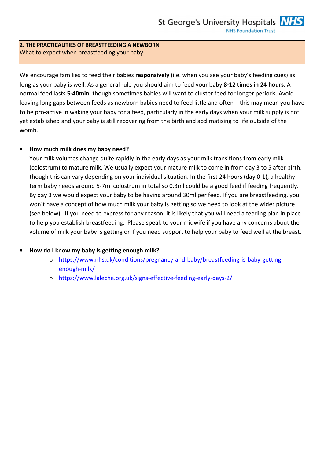#### 2. THE PRACTICALITIES OF BREASTFEEDING A NEWBORN What to expect when breastfeeding your baby

We encourage families to feed their babies responsively (i.e. when you see your baby's feeding cues) as long as your baby is well. As a general rule you should aim to feed your baby 8-12 times in 24 hours. A normal feed lasts 5-40min, though sometimes babies will want to cluster feed for longer periods. Avoid leaving long gaps between feeds as newborn babies need to feed little and often – this may mean you have to be pro-active in waking your baby for a feed, particularly in the early days when your milk supply is not yet established and your baby is still recovering from the birth and acclimatising to life outside of the womb.

#### • How much milk does my baby need?

Your milk volumes change quite rapidly in the early days as your milk transitions from early milk (colostrum) to mature milk. We usually expect your mature milk to come in from day 3 to 5 after birth, though this can vary depending on your individual situation. In the first 24 hours (day 0-1), a healthy term baby needs around 5-7ml colostrum in total so 0.3ml could be a good feed if feeding frequently. By day 3 we would expect your baby to be having around 30ml per feed. If you are breastfeeding, you won't have a concept of how much milk your baby is getting so we need to look at the wider picture (see below). If you need to express for any reason, it is likely that you will need a feeding plan in place to help you establish breastfeeding. Please speak to your midwife if you have any concerns about the volume of milk your baby is getting or if you need support to help your baby to feed well at the breast.

#### • How do I know my baby is getting enough milk?

- o https://www.nhs.uk/conditions/pregnancy-and-baby/breastfeeding-is-baby-gettingenough-milk/
- o https://www.laleche.org.uk/signs-effective-feeding-early-days-2/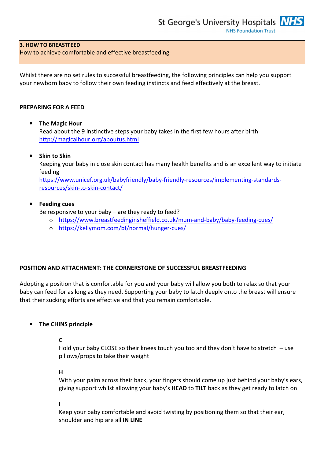#### 3. HOW TO BREASTFEED

How to achieve comfortable and effective breastfeeding

Whilst there are no set rules to successful breastfeeding, the following principles can help you support your newborn baby to follow their own feeding instincts and feed effectively at the breast.

#### PREPARING FOR A FEED

#### • The Magic Hour

Read about the 9 instinctive steps your baby takes in the first few hours after birth http://magicalhour.org/aboutus.html

#### • Skin to Skin

Keeping your baby in close skin contact has many health benefits and is an excellent way to initiate feeding https://www.unicef.org.uk/babyfriendly/baby-friendly-resources/implementing-standards-

resources/skin-to-skin-contact/

#### **Feeding cues**

Be responsive to your baby – are they ready to feed?

- o https://www.breastfeedinginsheffield.co.uk/mum-and-baby/baby-feeding-cues/
- o https://kellymom.com/bf/normal/hunger-cues/

#### POSITION AND ATTACHMENT: THE CORNERSTONE OF SUCCESSFUL BREASTFEEDING

Adopting a position that is comfortable for you and your baby will allow you both to relax so that your baby can feed for as long as they need. Supporting your baby to latch deeply onto the breast will ensure that their sucking efforts are effective and that you remain comfortable.

#### • The CHINS principle

#### C

Hold your baby CLOSE so their knees touch you too and they don't have to stretch – use pillows/props to take their weight

#### H

With your palm across their back, your fingers should come up just behind your baby's ears, giving support whilst allowing your baby's HEAD to TILT back as they get ready to latch on

I

Keep your baby comfortable and avoid twisting by positioning them so that their ear, shoulder and hip are all IN LINE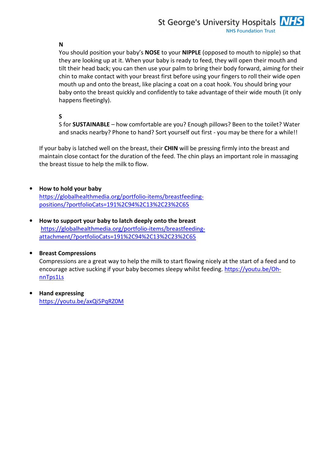#### N

You should position your baby's NOSE to your NIPPLE (opposed to mouth to nipple) so that they are looking up at it. When your baby is ready to feed, they will open their mouth and tilt their head back; you can then use your palm to bring their body forward, aiming for their chin to make contact with your breast first before using your fingers to roll their wide open mouth up and onto the breast, like placing a coat on a coat hook. You should bring your baby onto the breast quickly and confidently to take advantage of their wide mouth (it only happens fleetingly).

S

S for SUSTAINABLE – how comfortable are you? Enough pillows? Been to the toilet? Water and snacks nearby? Phone to hand? Sort yourself out first - you may be there for a while!!

If your baby is latched well on the breast, their CHIN will be pressing firmly into the breast and maintain close contact for the duration of the feed. The chin plays an important role in massaging the breast tissue to help the milk to flow.

- How to hold your baby https://globalhealthmedia.org/portfolio-items/breastfeedingpositions/?portfolioCats=191%2C94%2C13%2C23%2C65
- How to support your baby to latch deeply onto the breast https://globalhealthmedia.org/portfolio-items/breastfeedingattachment/?portfolioCats=191%2C94%2C13%2C23%2C65

#### • Breast Compressions

Compressions are a great way to help the milk to start flowing nicely at the start of a feed and to encourage active sucking if your baby becomes sleepy whilst feeding. https://youtu.be/OhnnTps1Ls

• Hand expressing https://youtu.be/axQi5PqRZ0M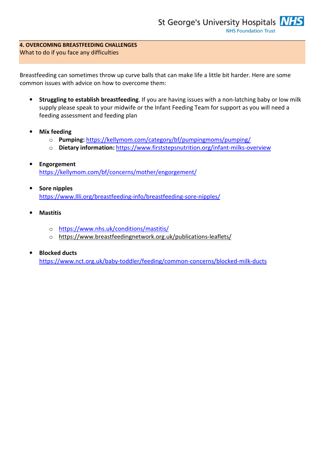#### 4. OVERCOMING BREASTFEEDING CHALLENGES What to do if you face any difficulties

Breastfeeding can sometimes throw up curve balls that can make life a little bit harder. Here are some common issues with advice on how to overcome them:

- Struggling to establish breastfeeding. If you are having issues with a non-latching baby or low milk supply please speak to your midwife or the Infant Feeding Team for support as you will need a feeding assessment and feeding plan
- **Mix feeding** 
	- o Pumping: https://kellymom.com/category/bf/pumpingmoms/pumping/
	- o Dietary information: https://www.firststepsnutrition.org/infant-milks-overview
- Engorgement https://kellymom.com/bf/concerns/mother/engorgement/
- Sore nipples https://www.llli.org/breastfeeding-info/breastfeeding-sore-nipples/
- Mastitis
	- o https://www.nhs.uk/conditions/mastitis/
	- o https://www.breastfeedingnetwork.org.uk/publications-leaflets/

#### • Blocked ducts

https://www.nct.org.uk/baby-toddler/feeding/common-concerns/blocked-milk-ducts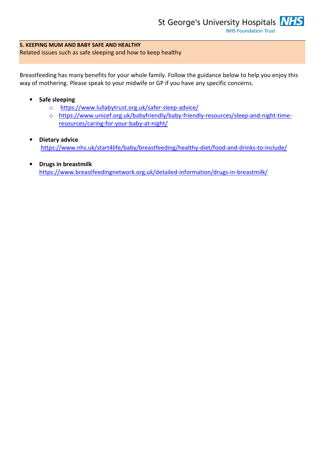### 5. KEEPING MUM AND BABY SAFE AND HEALTHY

Related issues such as safe sleeping and how to keep healthy

Breastfeeding has many benefits for your whole family. Follow the guidance below to help you enjoy this way of mothering. Please speak to your midwife or GP if you have any specific concerns.

#### • Safe sleeping

- o https://www.lullabytrust.org.uk/safer-sleep-advice/
- o https://www.unicef.org.uk/babyfriendly/baby-friendly-resources/sleep-and-night-timeresources/caring-for-your-baby-at-night/
- Dietary advice https://www.nhs.uk/start4life/baby/breastfeeding/healthy-diet/food-and-drinks-to-include/
- Drugs in breastmilk https://www.breastfeedingnetwork.org.uk/detailed-information/drugs-in-breastmilk/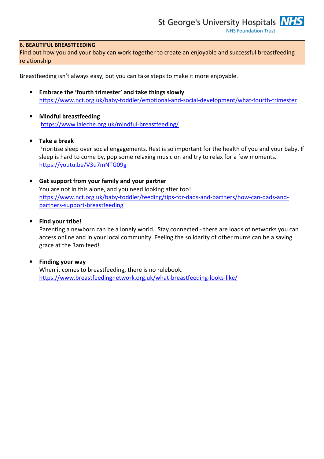#### 6. BEAUTIFUL BREASTFEEDING

Find out how you and your baby can work together to create an enjoyable and successful breastfeeding relationship

Breastfeeding isn't always easy, but you can take steps to make it more enjoyable.

- Embrace the 'fourth trimester' and take things slowly https://www.nct.org.uk/baby-toddler/emotional-and-social-development/what-fourth-trimester
- Mindful breastfeeding https://www.laleche.org.uk/mindful-breastfeeding/
- Take a break Prioritise sleep over social engagements. Rest is so important for the health of you and your baby. If sleep is hard to come by, pop some relaxing music on and try to relax for a few moments. https://youtu.be/V3u7mNTG09g
- Get support from your family and your partner You are not in this alone, and you need looking after too! https://www.nct.org.uk/baby-toddler/feeding/tips-for-dads-and-partners/how-can-dads-andpartners-support-breastfeeding
- Find your tribe!

Parenting a newborn can be a lonely world. Stay connected - there are loads of networks you can access online and in your local community. Feeling the solidarity of other mums can be a saving grace at the 3am feed!

• Finding your way When it comes to breastfeeding, there is no rulebook. https://www.breastfeedingnetwork.org.uk/what-breastfeeding-looks-like/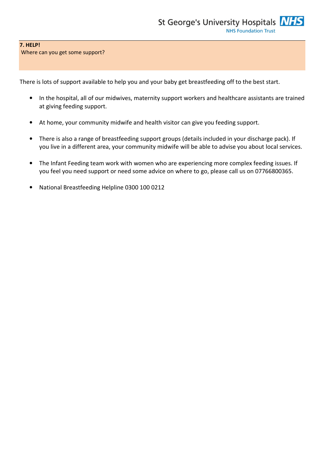#### 7. HELP!

Where can you get some support?

There is lots of support available to help you and your baby get breastfeeding off to the best start.

- In the hospital, all of our midwives, maternity support workers and healthcare assistants are trained at giving feeding support.
- At home, your community midwife and health visitor can give you feeding support.
- There is also a range of breastfeeding support groups (details included in your discharge pack). If you live in a different area, your community midwife will be able to advise you about local services.
- The Infant Feeding team work with women who are experiencing more complex feeding issues. If you feel you need support or need some advice on where to go, please call us on 07766800365.
- National Breastfeeding Helpline 0300 100 0212